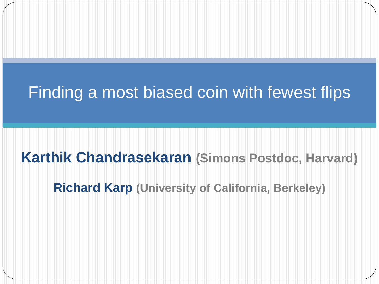#### Finding a most biased coin with fewest flips

#### **Karthik Chandrasekaran (Simons Postdoc, Harvard)**

**Richard Karp (University of California, Berkeley)**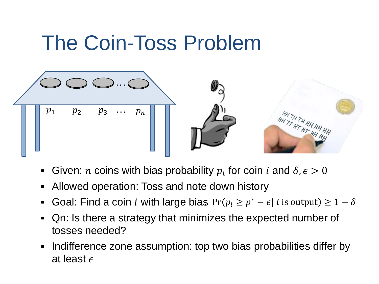## The Coin-Toss Problem



- Given: *n* coins with bias probability  $p_i$  for coin *i* and  $\delta, \epsilon > 0$
- Allowed operation: Toss and note down history
- Goal: Find a coin *i* with large bias  $Pr(p_i \ge p^* \epsilon | i \text{ is output}) \ge 1 \delta$
- Qn: Is there a strategy that minimizes the expected number of tosses needed?
- Indifference zone assumption: top two bias probabilities differ by at least  $\epsilon$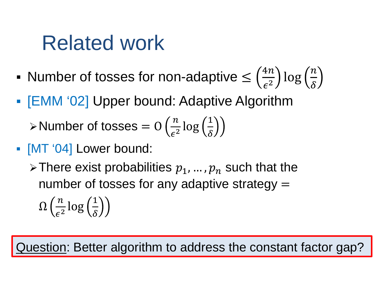### Related work

- Number of tosses for non-adaptive  $\leq \left(\frac{4n}{\epsilon^2}\right) \log\left(\frac{n}{\delta}\right)$
- [EMM '02] Upper bound: Adaptive Algorithm

> Number of tosses =  $O\left(\frac{n}{\epsilon^2}\log\left(\frac{1}{\delta}\right)\right)$ 

- [MT '04] Lower bound:
	- $\triangleright$  There exist probabilities  $p_1, ..., p_n$  such that the number of tosses for any adaptive strategy  $=$

 $\Omega\left(\frac{n}{\epsilon^2}\log\left(\frac{1}{\delta}\right)\right)$ 

uestion: Better algorithm to address the constant factor gap?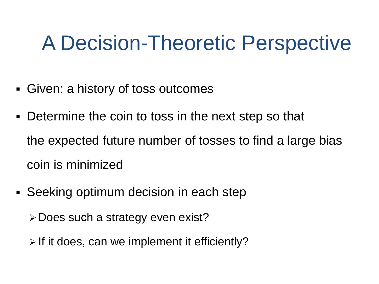## A Decision-Theoretic Perspective

- Given: a history of toss outcomes
- Determine the coin to toss in the next step so that the expected future number of tosses to find a large bias coin is minimized
- Seeking optimum decision in each step
	- Does such a strategy even exist?
	- $\triangleright$  If it does, can we implement it efficiently?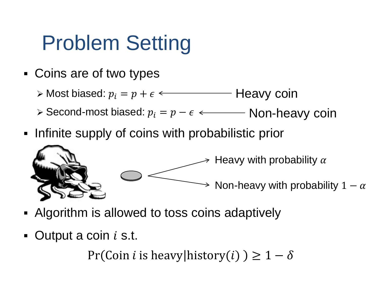## Problem Setting

Coins are of two types

 $\triangleright$  Most biased:  $p_i = p + \epsilon \longleftarrow$  Heavy coin

≻ Second-most biased:  $p_i = p - \epsilon$  ← Non-heavy coin

Infinite supply of coins with probabilistic prior



- Algorithm is allowed to toss coins adaptively
- $\bullet$  Output a coin i s.t.

Pr(Coin *i* is heavy history(*i*)  $\geq 1 - \delta$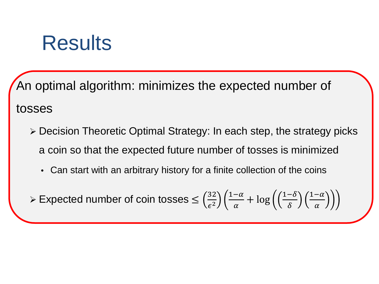#### **Results**

An optimal algorithm: minimizes the expected number of tosses

- Decision Theoretic Optimal Strategy: In each step, the strategy picks a coin so that the expected future number of tosses is minimized
	- Can start with an arbitrary history for a finite collection of the coins

≻ Expected number of coin tosses  $\leq \left(\frac{32}{\epsilon^2}\right)$  $\frac{1-\alpha}{\alpha}$  $\frac{-\alpha}{\alpha} + \log \left( \left( \frac{1-\delta}{\delta} \right) \right)$  $\frac{1-\alpha}{\alpha}$  $\alpha$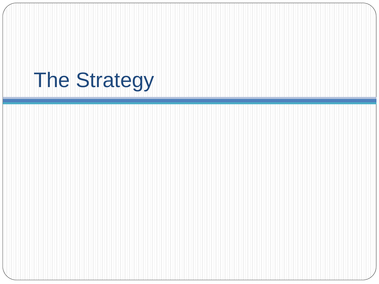# The Strategy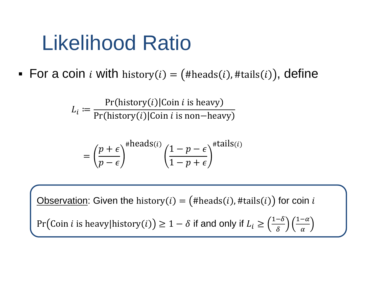## Likelihood Ratio

For a coin *i* with history(*i*) = (#heads(*i*), #tails(*i*)), define

 $L_i \coloneqq$  $Pr(\text{history}(t)|\text{Conn}\;t$  is heavy Pr(history(*i*)|Coin *i* is non−heavy

$$
= \left(\frac{p+\epsilon}{p-\epsilon}\right)^{\#\text{heads}(i)} \left(\frac{1-p-\epsilon}{1-p+\epsilon}\right)^{\#\text{tails}(i)}
$$

Observation: Given the history( $i$ ) = (#heads( $i$ ), #tails( $i$ )) for coin  $i$ Pr $\left(\text{Coin } i \text{ is heavy}|\text{history}(i)\right) \geq 1-\delta$  if and only if  $L_i \geq \left(\frac{1-\delta}{\delta}\right)$  $\frac{1-\alpha}{\alpha}$  $\alpha$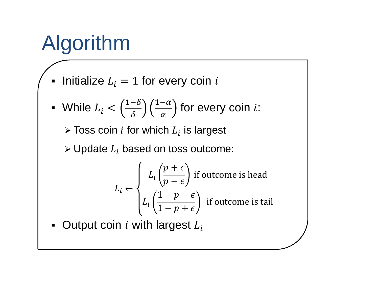# Algorithm

Initialize  $L_i = 1$  for every coin i

■ While 
$$
L_i < \left(\frac{1-\delta}{\delta}\right) \left(\frac{1-\alpha}{\alpha}\right)
$$
 for every coin *i*:

 $\triangleright$  Toss coin *i* for which  $L_i$  is largest

 $\triangleright$  Update  $L_i$  based on toss outcome:

$$
L_i \leftarrow \begin{cases} L_i \left( \frac{p+\epsilon}{p-\epsilon} \right) \text{ if outcome is head} \\ L_i \left( \frac{1-p-\epsilon}{1-p+\epsilon} \right) \text{ if outcome is tail} \end{cases}
$$

• Output coin  $i$  with largest  $L_i$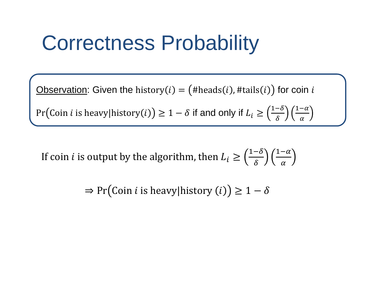## Correctness Probability

Observation: Given the history(i) =  $($ #heads(i), #tails(i)) for coin i

Pr (Coin *i* is heavy|history  $(i)$ )  $\geq 1 - \delta$  if and only if  $L_i \geq \left(\frac{1-\delta}{\delta}\right)$  $\frac{1-\alpha}{\alpha}$  $\alpha$ 

If coin *i* is output by the algorithm, then  $L_i \geq \left(\frac{1-\delta}{\delta}\right)$  $\frac{1-\alpha}{\alpha}$  $\alpha$ 

 $\Rightarrow$  Pr(Coin *i* is heavy|history (*i*))  $\geq 1 - \delta$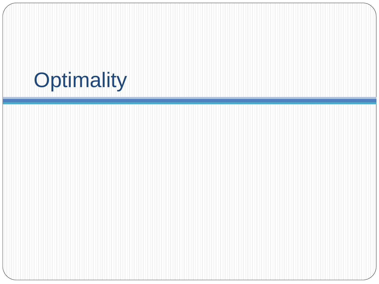## **Optimality**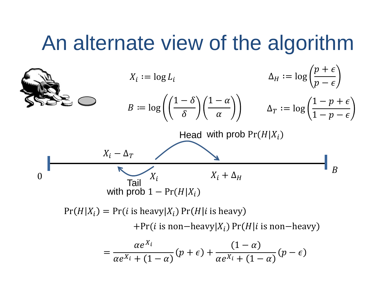#### An alternate view of the algorithm

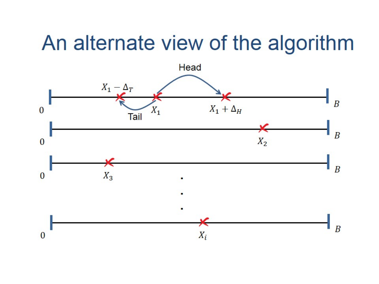#### An alternate view of the algorithm

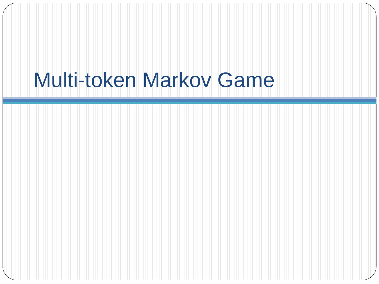## Multi-token Markov Game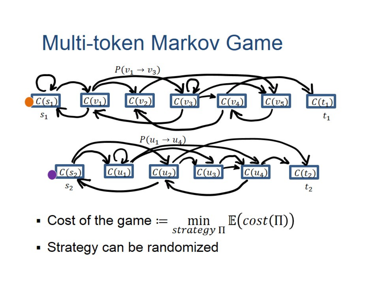### Multi-token Markov Game



- Cost of the game  $:=$  min strategy  $\Pi$  $\mathbb{E}(cost(\Pi))$
- Strategy can be randomized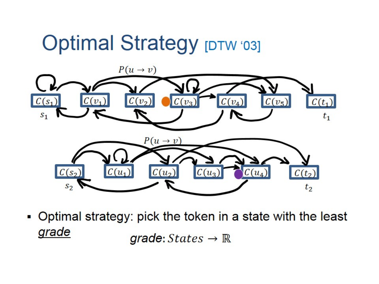

• Optimal strategy: pick the token in a state with the least grade grade:  $States \rightarrow \mathbb{R}$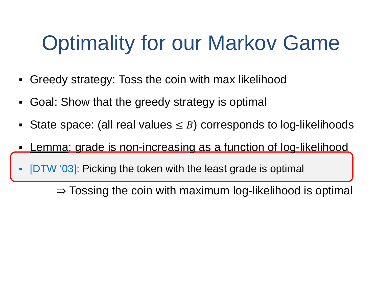# Optimality for our Markov Game

- Greedy strategy: Toss the coin with max likelihood
- Goal: Show that the greedy strategy is optimal
- State space: (all real values  $\leq$  B) corresponds to log-likelihoods
- Lemma: grade is non-increasing as a function of log-likelihood
- [DTW '03]: Picking the token with the least grade is optimal

 $\Rightarrow$  Tossing the coin with maximum log-likelihood is optimal